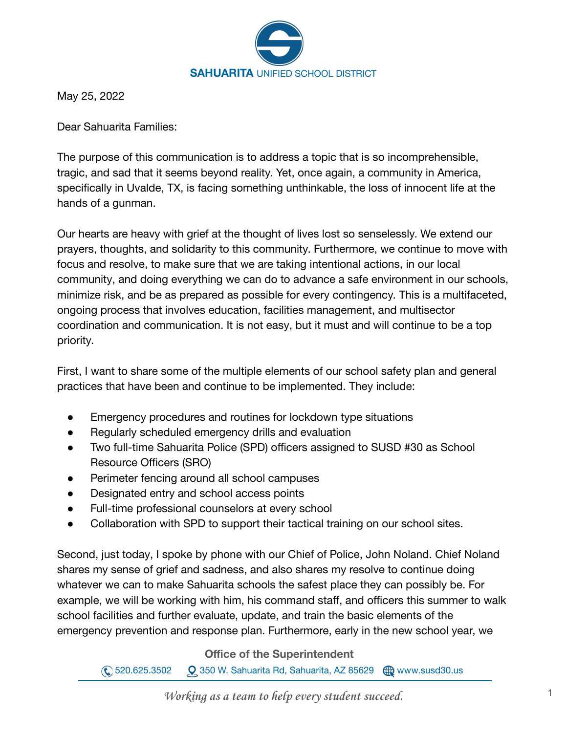

May 25, 2022

Dear Sahuarita Families:

The purpose of this communication is to address a topic that is so incomprehensible, tragic, and sad that it seems beyond reality. Yet, once again, a community in America, specifically in Uvalde, TX, is facing something unthinkable, the loss of innocent life at the hands of a gunman.

Our hearts are heavy with grief at the thought of lives lost so senselessly. We extend our prayers, thoughts, and solidarity to this community. Furthermore, we continue to move with focus and resolve, to make sure that we are taking intentional actions, in our local community, and doing everything we can do to advance a safe environment in our schools, minimize risk, and be as prepared as possible for every contingency. This is a multifaceted, ongoing process that involves education, facilities management, and multisector coordination and communication. It is not easy, but it must and will continue to be a top priority.

First, I want to share some of the multiple elements of our school safety plan and general practices that have been and continue to be implemented. They include:

- Emergency procedures and routines for lockdown type situations
- Regularly scheduled emergency drills and evaluation
- Two full-time Sahuarita Police (SPD) officers assigned to SUSD #30 as School Resource Officers (SRO)
- Perimeter fencing around all school campuses
- Designated entry and school access points
- Full-time professional counselors at every school
- Collaboration with SPD to support their tactical training on our school sites.

Second, just today, I spoke by phone with our Chief of Police, John Noland. Chief Noland shares my sense of grief and sadness, and also shares my resolve to continue doing whatever we can to make Sahuarita schools the safest place they can possibly be. For example, we will be working with him, his command staff, and officers this summer to walk school facilities and further evaluate, update, and train the basic elements of the emergency prevention and response plan. Furthermore, early in the new school year, we

**Office of the Superintendent**

 $\mathbb{Q}$  520.625.3502  $\mathbb{Q}$  350 W. Sahuarita Rd, Sahuarita, AZ 85629  $\mathbb{Q}$  www.susd30.us